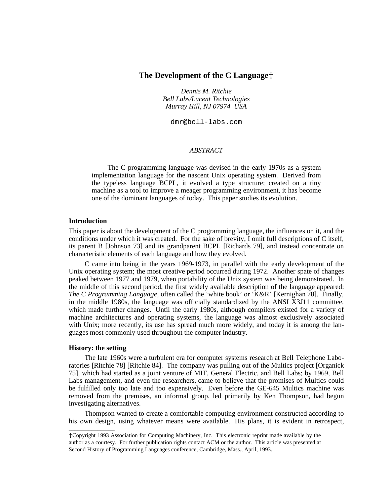# **The Development of the C Language**

*Dennis M. Ritchie Bell Labs/Lucent Technologies Murray Hill, NJ 07974 USA*

dmr@bell-labs.com

# *ABSTRACT*

The C programming language was devised in the early 1970s as a system implementation language for the nascent Unix operating system. Derived from the typeless language BCPL, it evolved a type structure; created on a tiny machine as a tool to improve a meager programming environment, it has become one of the dominant languages of today. This paper studies its evolution.

# **Introduction**

This paper is about the development of the C programming language, the influences on it, and the conditions under which it was created. For the sake of brevity, I omit full descriptions of C itself, its parent B [Johnson 73] and its grandparent BCPL [Richards 79], and instead concentrate on characteristic elements of each language and how they evolved.

C came into being in the years 1969-1973, in parallel with the early development of the Unix operating system; the most creative period occurred during 1972. Another spate of changes peaked between 1977 and 1979, when portability of the Unix system was being demonstrated. In the middle of this second period, the first widely available description of the language appeared: *The C Programming Language,* often called the 'white book' or 'K&R' [Kernighan 78]. Finally, in the middle 1980s, the language was officially standardized by the ANSI X3J11 committee, which made further changes. Until the early 1980s, although compilers existed for a variety of machine architectures and operating systems, the language was almost exclusively associated with Unix; more recently, its use has spread much more widely, and today it is among the languages most commonly used throughout the computer industry.

## **History: the setting**

\_\_\_\_\_\_\_\_\_\_\_\_\_\_\_\_

The late 1960s were a turbulent era for computer systems research at Bell Telephone Laboratories [Ritchie 78] [Ritchie 84]. The company was pulling out of the Multics project [Organick 75], which had started as a joint venture of MIT, General Electric, and Bell Labs; by 1969, Bell Labs management, and even the researchers, came to believe that the promises of Multics could be fulfilled only too late and too expensively. Even before the GE-645 Multics machine was removed from the premises, an informal group, led primarily by Ken Thompson, had begun investigating alternatives.

Thompson wanted to create a comfortable computing environment constructed according to his own design, using whatever means were available. His plans, it is evident in retrospect,

Copyright 1993 Association for Computing Machinery, Inc. This electronic reprint made available by the author as a courtesy. For further publication rights contact ACM or the author. This article was presented at Second History of Programming Languages conference, Cambridge, Mass., April, 1993.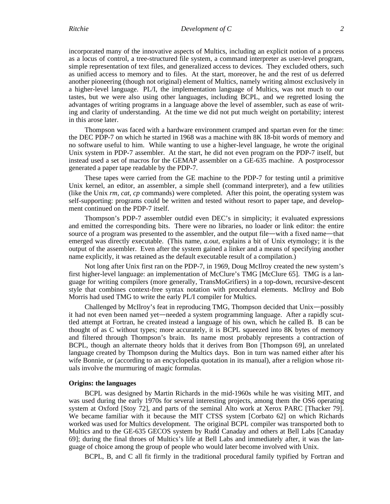incorporated many of the innovative aspects of Multics, including an explicit notion of a process as a locus of control, a tree-structured file system, a command interpreter as user-level program, simple representation of text files, and generalized access to devices. They excluded others, such as unified access to memory and to files. At the start, moreover, he and the rest of us deferred another pioneering (though not original) element of Multics, namely writing almost exclusively in a higher-level language. PL/I, the implementation language of Multics, was not much to our tastes, but we were also using other languages, including BCPL, and we regretted losing the advantages of writing programs in a language above the level of assembler, such as ease of writing and clarity of understanding. At the time we did not put much weight on portability; interest in this arose later.

Thompson was faced with a hardware environment cramped and spartan even for the time: the DEC PDP-7 on which he started in 1968 was a machine with 8K 18-bit words of memory and no software useful to him. While wanting to use a higher-level language, he wrote the original Unix system in PDP-7 assembler. At the start, he did not even program on the PDP-7 itself, but instead used a set of macros for the GEMAP assembler on a GE-635 machine. A postprocessor generated a paper tape readable by the PDP-7.

These tapes were carried from the GE machine to the PDP-7 for testing until a primitive Unix kernel, an editor, an assembler, a simple shell (command interpreter), and a few utilities (like the Unix *rm, cat, cp* commands) were completed. After this point, the operating system was self-supporting: programs could be written and tested without resort to paper tape, and development continued on the PDP-7 itself.

Thompson's PDP-7 assembler outdid even DEC's in simplicity; it evaluated expressions and emitted the corresponding bits. There were no libraries, no loader or link editor: the entire source of a program was presented to the assembler, and the output file—with a fixed name—that emerged was directly executable. (This name, *a.out*, explains a bit of Unix etymology; it is the output of the assembler. Even after the system gained a linker and a means of specifying another name explicitly, it was retained as the default executable result of a compilation.)

Not long after Unix first ran on the PDP-7, in 1969, Doug McIlroy created the new system's first higher-level language: an implementation of McClure's TMG [McClure 65]. TMG is a language for writing compilers (more generally, TransMoGrifiers) in a top-down, recursive-descent style that combines context-free syntax notation with procedural elements. McIlroy and Bob Morris had used TMG to write the early PL/I compiler for Multics.

Challenged by McIlroy's feat in reproducing TMG, Thompson decided that Unix—possibly it had not even been named yet—needed a system programming language. After a rapidly scuttled attempt at Fortran, he created instead a language of his own, which he called B. B can be thought of as C without types; more accurately, it is BCPL squeezed into 8K bytes of memory and filtered through Thompson's brain. Its name most probably represents a contraction of BCPL, though an alternate theory holds that it derives from Bon [Thompson 69], an unrelated language created by Thompson during the Multics days. Bon in turn was named either after his wife Bonnie, or (according to an encyclopedia quotation in its manual), after a religion whose rituals involve the murmuring of magic formulas.

## **Origins: the languages**

BCPL was designed by Martin Richards in the mid-1960s while he was visiting MIT, and was used during the early 1970s for several interesting projects, among them the OS6 operating system at Oxford [Stoy 72], and parts of the seminal Alto work at Xerox PARC [Thacker 79]. We became familiar with it because the MIT CTSS system [Corbato 62] on which Richards worked was used for Multics development. The original BCPL compiler was transported both to Multics and to the GE-635 GECOS system by Rudd Canaday and others at Bell Labs [Canaday 69]; during the final throes of Multics's life at Bell Labs and immediately after, it was the language of choice among the group of people who would later become involved with Unix.

BCPL, B, and C all fit firmly in the traditional procedural family typified by Fortran and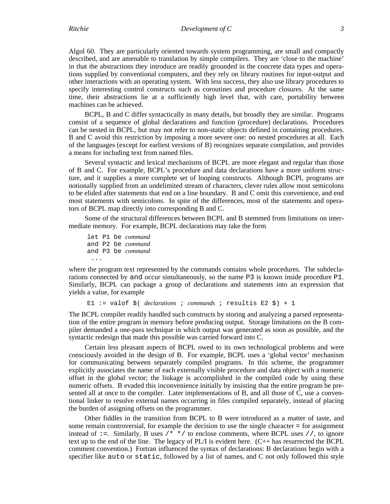Algol 60. They are particularly oriented towards system programming, are small and compactly described, and are amenable to translation by simple compilers. They are 'close to the machine' in that the abstractions they introduce are readily grounded in the concrete data types and operations supplied by conventional computers, and they rely on library routines for input-output and other interactions with an operating system. With less success, they also use library procedures to specify interesting control constructs such as coroutines and procedure closures. At the same time, their abstractions lie at a sufficiently high level that, with care, portability between machines can be achieved.

BCPL, B and C differ syntactically in many details, but broadly they are similar. Programs consist of a sequence of global declarations and function (procedure) declarations. Procedures can be nested in BCPL, but may not refer to non-static objects defined in containing procedures. B and C avoid this restriction by imposing a more severe one: no nested procedures at all. Each of the languages (except for earliest versions of B) recognizes separate compilation, and provides a means for including text from named files.

Several syntactic and lexical mechanisms of BCPL are more elegant and regular than those of B and C. For example, BCPL's procedure and data declarations have a more uniform structure, and it supplies a more complete set of looping constructs. Although BCPL programs are notionally supplied from an undelimited stream of characters, clever rules allow most semicolons to be elided after statements that end on a line boundary. B and C omit this convenience, and end most statements with semicolons. In spite of the differences, most of the statements and operators of BCPL map directly into corresponding B and C.

Some of the structural differences between BCPL and B stemmed from limitations on intermediate memory. For example, BCPL declarations may take the form

let P1 be *command* and P2 be *command* and P3 be *command* ...

where the program text represented by the commands contains whole procedures. The subdeclarations connected by and occur simultaneously, so the name P3 is known inside procedure P1. Similarly, BCPL can package a group of declarations and statements into an expression that yields a value, for example

E1 := valof \$( *declarations* ; *commands* ; resultis E2 \$) + 1

The BCPL compiler readily handled such constructs by storing and analyzing a parsed representation of the entire program in memory before producing output. Storage limitations on the B compiler demanded a one-pass technique in which output was generated as soon as possible, and the syntactic redesign that made this possible was carried forward into C.

Certain less pleasant aspects of BCPL owed to its own technological problems and were consciously avoided in the design of B. For example, BCPL uses a 'global vector' mechanism for communicating between separately compiled programs. In this scheme, the programmer explicitly associates the name of each externally visible procedure and data object with a numeric offset in the global vector; the linkage is accomplished in the compiled code by using these numeric offsets. B evaded this inconvenience initially by insisting that the entire program be presented all at once to the compiler. Later implementations of B, and all those of C, use a conventional linker to resolve external names occurring in files compiled separately, instead of placing the burden of assigning offsets on the programmer.

Other fiddles in the transition from BCPL to B were introduced as a matter of taste, and some remain controversial, for example the decision to use the single character = for assignment instead of :=. Similarly, B uses  $/* * /$  to enclose comments, where BCPL uses  $//$ , to ignore text up to the end of the line. The legacy of PL/I is evident here. (C++ has resurrected the BCPL comment convention.) Fortran influenced the syntax of declarations: B declarations begin with a specifier like auto or static, followed by a list of names, and C not only followed this style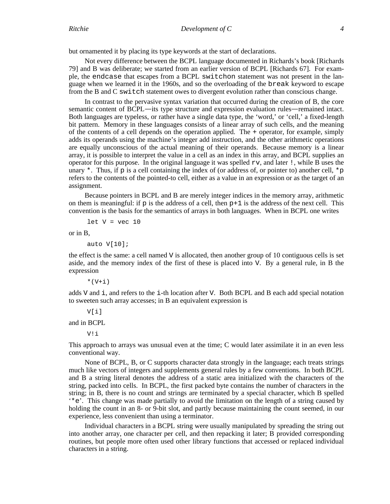but ornamented it by placing its type keywords at the start of declarations.

Not every difference between the BCPL language documented in Richards's book [Richards 79] and B was deliberate; we started from an earlier version of BCPL [Richards 67]. For example, the endcase that escapes from a BCPL switchon statement was not present in the language when we learned it in the 1960s, and so the overloading of the break keyword to escape from the B and C switch statement owes to divergent evolution rather than conscious change.

In contrast to the pervasive syntax variation that occurred during the creation of B, the core semantic content of BCPL—its type structure and expression evaluation rules—remained intact. Both languages are typeless, or rather have a single data type, the 'word,' or 'cell,' a fixed-length bit pattern. Memory in these languages consists of a linear array of such cells, and the meaning of the contents of a cell depends on the operation applied. The + operator, for example, simply adds its operands using the machine's integer add instruction, and the other arithmetic operations are equally unconscious of the actual meaning of their operands. Because memory is a linear array, it is possible to interpret the value in a cell as an index in this array, and BCPL supplies an operator for this purpose. In the original language it was spelled  $r\mathbf{v}$ , and later !, while B uses the unary  $*$ . Thus, if p is a cell containing the index of (or address of, or pointer to) another cell,  $*_{\rm p}$ refers to the contents of the pointed-to cell, either as a value in an expression or as the target of an assignment.

Because pointers in BCPL and B are merely integer indices in the memory array, arithmetic on them is meaningful: if  $p$  is the address of a cell, then  $p+1$  is the address of the next cell. This convention is the basis for the semantics of arrays in both languages. When in BCPL one writes

let  $V = vec 10$ 

or in B,

auto V[10];

the effect is the same: a cell named  $\nabla$  is allocated, then another group of 10 contiguous cells is set aside, and the memory index of the first of these is placed into V. By a general rule, in B the expression

 $*(V+i)$ 

adds V and i, and refers to the i-th location after V. Both BCPL and B each add special notation to sweeten such array accesses; in B an equivalent expression is

V[i]

and in BCPL

V!i

This approach to arrays was unusual even at the time; C would later assimilate it in an even less conventional way.

None of BCPL, B, or C supports character data strongly in the language; each treats strings much like vectors of integers and supplements general rules by a few conventions. In both BCPL and B a string literal denotes the address of a static area initialized with the characters of the string, packed into cells. In BCPL, the first packed byte contains the number of characters in the string; in B, there is no count and strings are terminated by a special character, which B spelled '\*e'. This change was made partially to avoid the limitation on the length of a string caused by holding the count in an 8- or 9-bit slot, and partly because maintaining the count seemed, in our experience, less convenient than using a terminator.

Individual characters in a BCPL string were usually manipulated by spreading the string out into another array, one character per cell, and then repacking it later; B provided corresponding routines, but people more often used other library functions that accessed or replaced individual characters in a string.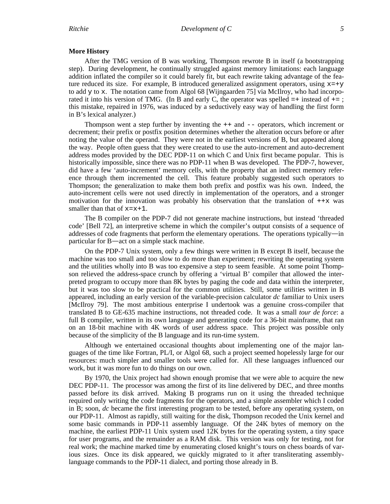## **More History**

After the TMG version of B was working, Thompson rewrote B in itself (a bootstrapping step). During development, he continually struggled against memory limitations: each language addition inflated the compiler so it could barely fit, but each rewrite taking advantage of the feature reduced its size. For example, B introduced generalized assignment operators, using  $x = +y$ to add y to x. The notation came from Algol 68 [Wijngaarden 75] via McIlroy, who had incorporated it into his version of TMG. (In B and early C, the operator was spelled  $=+$  instead of  $+=$ ; this mistake, repaired in 1976, was induced by a seductively easy way of handling the first form in B's lexical analyzer.)

Thompson went a step further by inventing the ++ and -- operators, which increment or decrement; their prefix or postfix position determines whether the alteration occurs before or after noting the value of the operand. They were not in the earliest versions of B, but appeared along the way. People often guess that they were created to use the auto-increment and auto-decrement address modes provided by the DEC PDP-11 on which C and Unix first became popular. This is historically impossible, since there was no PDP-11 when B was developed. The PDP-7, however, did have a few 'auto-increment' memory cells, with the property that an indirect memory reference through them incremented the cell. This feature probably suggested such operators to Thompson; the generalization to make them both prefix and postfix was his own. Indeed, the auto-increment cells were not used directly in implementation of the operators, and a stronger motivation for the innovation was probably his observation that the translation of  $+x$  was smaller than that of  $x=x+1$ .

The B compiler on the PDP-7 did not generate machine instructions, but instead 'threaded code' [Bell 72], an interpretive scheme in which the compiler's output consists of a sequence of addresses of code fragments that perform the elementary operations. The operations typically—in particular for  $B$ —act on a simple stack machine.

On the PDP-7 Unix system, only a few things were written in B except B itself, because the machine was too small and too slow to do more than experiment; rewriting the operating system and the utilities wholly into B was too expensive a step to seem feasible. At some point Thompson relieved the address-space crunch by offering a 'virtual B' compiler that allowed the interpreted program to occupy more than 8K bytes by paging the code and data within the interpreter, but it was too slow to be practical for the common utilities. Still, some utilities written in B appeared, including an early version of the variable-precision calculator *dc* familiar to Unix users [McIlroy 79]. The most ambitious enterprise I undertook was a genuine cross-compiler that translated B to GE-635 machine instructions, not threaded code. It was a small *tour de force*: a full B compiler, written in its own language and generating code for a 36-bit mainframe, that ran on an 18-bit machine with 4K words of user address space. This project was possible only because of the simplicity of the B language and its run-time system.

Although we entertained occasional thoughts about implementing one of the major languages of the time like Fortran, PL/I, or Algol 68, such a project seemed hopelessly large for our resources: much simpler and smaller tools were called for. All these languages influenced our work, but it was more fun to do things on our own.

By 1970, the Unix project had shown enough promise that we were able to acquire the new DEC PDP-11. The processor was among the first of its line delivered by DEC, and three months passed before its disk arrived. Making B programs run on it using the threaded technique required only writing the code fragments for the operators, and a simple assembler which I coded in B; soon, *dc* became the first interesting program to be tested, before any operating system, on our PDP-11. Almost as rapidly, still waiting for the disk, Thompson recoded the Unix kernel and some basic commands in PDP-11 assembly language. Of the 24K bytes of memory on the machine, the earliest PDP-11 Unix system used 12K bytes for the operating system, a tiny space for user programs, and the remainder as a RAM disk. This version was only for testing, not for real work; the machine marked time by enumerating closed knight's tours on chess boards of various sizes. Once its disk appeared, we quickly migrated to it after transliterating assemblylanguage commands to the PDP-11 dialect, and porting those already in B.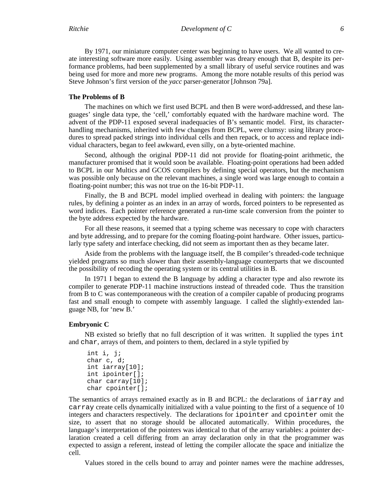By 1971, our miniature computer center was beginning to have users. We all wanted to create interesting software more easily. Using assembler was dreary enough that B, despite its performance problems, had been supplemented by a small library of useful service routines and was being used for more and more new programs. Among the more notable results of this period was Steve Johnson's first version of the *yacc* parser-generator [Johnson 79a].

## **The Problems of B**

The machines on which we first used BCPL and then B were word-addressed, and these languages' single data type, the 'cell,' comfortably equated with the hardware machine word. The advent of the PDP-11 exposed several inadequacies of B's semantic model. First, its characterhandling mechanisms, inherited with few changes from BCPL, were clumsy: using library procedures to spread packed strings into individual cells and then repack, or to access and replace individual characters, began to feel awkward, even silly, on a byte-oriented machine.

Second, although the original PDP-11 did not provide for floating-point arithmetic, the manufacturer promised that it would soon be available. Floating-point operations had been added to BCPL in our Multics and GCOS compilers by defining special operators, but the mechanism was possible only because on the relevant machines, a single word was large enough to contain a floating-point number; this was not true on the 16-bit PDP-11.

Finally, the B and BCPL model implied overhead in dealing with pointers: the language rules, by defining a pointer as an index in an array of words, forced pointers to be represented as word indices. Each pointer reference generated a run-time scale conversion from the pointer to the byte address expected by the hardware.

For all these reasons, it seemed that a typing scheme was necessary to cope with characters and byte addressing, and to prepare for the coming floating-point hardware. Other issues, particularly type safety and interface checking, did not seem as important then as they became later.

Aside from the problems with the language itself, the B compiler's threaded-code technique yielded programs so much slower than their assembly-language counterparts that we discounted the possibility of recoding the operating system or its central utilities in B.

In 1971 I began to extend the B language by adding a character type and also rewrote its compiler to generate PDP-11 machine instructions instead of threaded code. Thus the transition from B to C was contemporaneous with the creation of a compiler capable of producing programs fast and small enough to compete with assembly language. I called the slightly-extended language NB, for 'new B.'

## **Embryonic C**

NB existed so briefly that no full description of it was written. It supplied the types int and char, arrays of them, and pointers to them, declared in a style typified by

```
int i, j;
char c, d;
int iarray[10];
int ipointer[];
char carray[10];
char cpointer[];
```
The semantics of arrays remained exactly as in B and BCPL: the declarations of iarray and carray create cells dynamically initialized with a value pointing to the first of a sequence of 10 integers and characters respectively. The declarations for ipointer and cpointer omit the size, to assert that no storage should be allocated automatically. Within procedures, the language's interpretation of the pointers was identical to that of the array variables: a pointer declaration created a cell differing from an array declaration only in that the programmer was expected to assign a referent, instead of letting the compiler allocate the space and initialize the cell.

Values stored in the cells bound to array and pointer names were the machine addresses,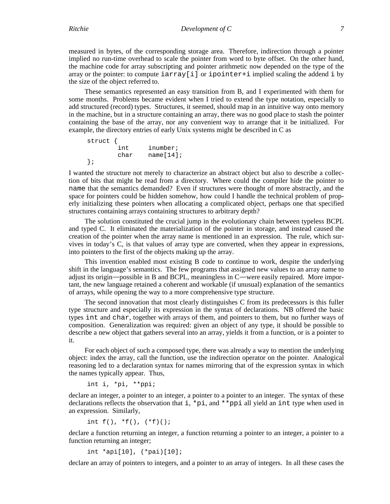measured in bytes, of the corresponding storage area. Therefore, indirection through a pointer implied no run-time overhead to scale the pointer from word to byte offset. On the other hand, the machine code for array subscripting and pointer arithmetic now depended on the type of the array or the pointer: to compute  $iarray[i]$  or  $ipointer+i$  implied scaling the addend i by the size of the object referred to.

These semantics represented an easy transition from B, and I experimented with them for some months. Problems became evident when I tried to extend the type notation, especially to add structured (record) types. Structures, it seemed, should map in an intuitive way onto memory in the machine, but in a structure containing an array, there was no good place to stash the pointer containing the base of the array, nor any convenient way to arrange that it be initialized. For example, the directory entries of early Unix systems might be described in C as

```
struct {
       int inumber;
       char name[14];
};
```
I wanted the structure not merely to characterize an abstract object but also to describe a collection of bits that might be read from a directory. Where could the compiler hide the pointer to name that the semantics demanded? Even if structures were thought of more abstractly, and the space for pointers could be hidden somehow, how could I handle the technical problem of properly initializing these pointers when allocating a complicated object, perhaps one that specified structures containing arrays containing structures to arbitrary depth?

The solution constituted the crucial jump in the evolutionary chain between typeless BCPL and typed C. It eliminated the materialization of the pointer in storage, and instead caused the creation of the pointer when the array name is mentioned in an expression. The rule, which survives in today's C, is that values of array type are converted, when they appear in expressions, into pointers to the first of the objects making up the array.

This invention enabled most existing B code to continue to work, despite the underlying shift in the language's semantics. The few programs that assigned new values to an array name to adjust its origin—possible in B and BCPL, meaningless in C—were easily repaired. More important, the new language retained a coherent and workable (if unusual) explanation of the semantics of arrays, while opening the way to a more comprehensive type structure.

The second innovation that most clearly distinguishes C from its predecessors is this fuller type structure and especially its expression in the syntax of declarations. NB offered the basic types int and char, together with arrays of them, and pointers to them, but no further ways of composition. Generalization was required: given an object of any type, it should be possible to describe a new object that gathers several into an array, yields it from a function, or is a pointer to it.

For each object of such a composed type, there was already a way to mention the underlying object: index the array, call the function, use the indirection operator on the pointer. Analogical reasoning led to a declaration syntax for names mirroring that of the expression syntax in which the names typically appear. Thus,

```
int i, *pi, **ppi;
```
declare an integer, a pointer to an integer, a pointer to a pointer to an integer. The syntax of these declarations reflects the observation that i, \*pi, and \*\*ppi all yield an int type when used in an expression. Similarly,

int  $f()$ ,  $*f()$ ,  $(*f)()$ ;

declare a function returning an integer, a function returning a pointer to an integer, a pointer to a function returning an integer;

```
int *api[10], (*pai)[10];
```
declare an array of pointers to integers, and a pointer to an array of integers. In all these cases the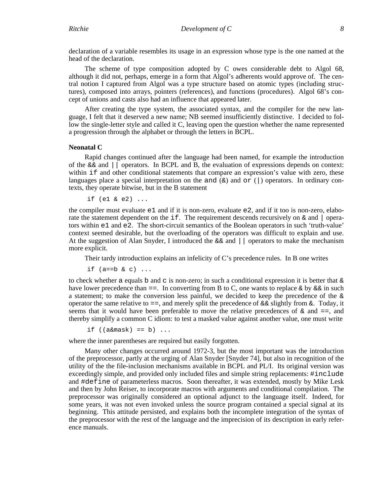declaration of a variable resembles its usage in an expression whose type is the one named at the head of the declaration.

The scheme of type composition adopted by C owes considerable debt to Algol 68, although it did not, perhaps, emerge in a form that Algol's adherents would approve of. The central notion I captured from Algol was a type structure based on atomic types (including structures), composed into arrays, pointers (references), and functions (procedures). Algol 68's concept of unions and casts also had an influence that appeared later.

After creating the type system, the associated syntax, and the compiler for the new language, I felt that it deserved a new name; NB seemed insufficiently distinctive. I decided to follow the single-letter style and called it C, leaving open the question whether the name represented a progression through the alphabet or through the letters in BCPL.

## **Neonatal C**

Rapid changes continued after the language had been named, for example the introduction of the  $\&\&$  and  $\vert\vert$  operators. In BCPL and B, the evaluation of expressions depends on context: within if and other conditional statements that compare an expression's value with zero, these languages place a special interpretation on the and  $(\&)$  and  $\circ$ r () operators. In ordinary contexts, they operate bitwise, but in the B statement

if (e1 & e2) ...

the compiler must evaluate  $e1$  and if it is non-zero, evaluate  $e2$ , and if it too is non-zero, elaborate the statement dependent on the if. The requirement descends recursively on  $\&$  and | operators within e1 and e2. The short-circuit semantics of the Boolean operators in such 'truth-value' context seemed desirable, but the overloading of the operators was difficult to explain and use. At the suggestion of Alan Snyder, I introduced the  $\&\&$  and  $\vert\vert$  operators to make the mechanism more explicit.

Their tardy introduction explains an infelicity of C's precedence rules. In B one writes

if  $(a == b & c) \ldots$ 

to check whether a equals b and c is non-zero; in such a conditional expression it is better that  $\alpha$ have lower precedence than  $==$ . In converting from B to C, one wants to replace  $\&$  by  $\&\&$  in such a statement; to make the conversion less painful, we decided to keep the precedence of the  $\&$ operator the same relative to  $=$  =, and merely split the precedence of  $\&&\&\text{slightly from }\&&\text{. Today, it}$ seems that it would have been preferable to move the relative precedences of  $\&$  and  $==$ , and thereby simplify a common C idiom: to test a masked value against another value, one must write

if  $((a\&mask) == b) \dots$ 

where the inner parentheses are required but easily forgotten.

Many other changes occurred around 1972-3, but the most important was the introduction of the preprocessor, partly at the urging of Alan Snyder [Snyder 74], but also in recognition of the utility of the the file-inclusion mechanisms available in BCPL and PL/I. Its original version was exceedingly simple, and provided only included files and simple string replacements: #include and #define of parameterless macros. Soon thereafter, it was extended, mostly by Mike Lesk and then by John Reiser, to incorporate macros with arguments and conditional compilation. The preprocessor was originally considered an optional adjunct to the language itself. Indeed, for some years, it was not even invoked unless the source program contained a special signal at its beginning. This attitude persisted, and explains both the incomplete integration of the syntax of the preprocessor with the rest of the language and the imprecision of its description in early reference manuals.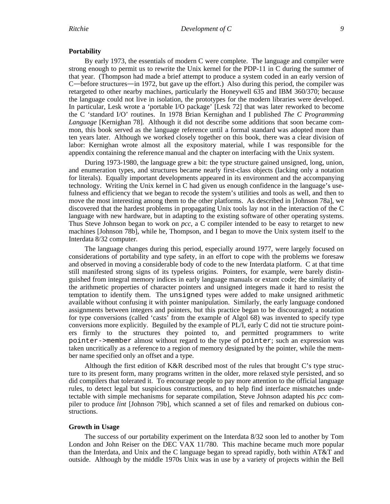#### **Portability**

By early 1973, the essentials of modern C were complete. The language and compiler were strong enough to permit us to rewrite the Unix kernel for the PDP-11 in C during the summer of that year. (Thompson had made a brief attempt to produce a system coded in an early version of C—before structures—in 1972, but gave up the effort.) Also during this period, the compiler was retargeted to other nearby machines, particularly the Honeywell 635 and IBM 360/370; because the language could not live in isolation, the prototypes for the modern libraries were developed. In particular, Lesk wrote a 'portable I/O package' [Lesk 72] that was later reworked to become the C 'standard I/O' routines. In 1978 Brian Kernighan and I published *The C Programming Language* [Kernighan 78]. Although it did not describe some additions that soon became common, this book served as the language reference until a formal standard was adopted more than ten years later. Although we worked closely together on this book, there was a clear division of labor: Kernighan wrote almost all the expository material, while I was responsible for the appendix containing the reference manual and the chapter on interfacing with the Unix system.

During 1973-1980, the language grew a bit: the type structure gained unsigned, long, union, and enumeration types, and structures became nearly first-class objects (lacking only a notation for literals). Equally important developments appeared in its environment and the accompanying technology. Writing the Unix kernel in C had given us enough confidence in the language's usefulness and efficiency that we began to recode the system's utilities and tools as well, and then to move the most interesting among them to the other platforms. As described in [Johnson 78a], we discovered that the hardest problems in propagating Unix tools lay not in the interaction of the C language with new hardware, but in adapting to the existing software of other operating systems. Thus Steve Johnson began to work on *pcc*, a C compiler intended to be easy to retarget to new machines [Johnson 78b], while he, Thompson, and I began to move the Unix system itself to the Interdata 8/32 computer.

The language changes during this period, especially around 1977, were largely focused on considerations of portability and type safety, in an effort to cope with the problems we foresaw and observed in moving a considerable body of code to the new Interdata platform. C at that time still manifested strong signs of its typeless origins. Pointers, for example, were barely distinguished from integral memory indices in early language manuals or extant code; the similarity of the arithmetic properties of character pointers and unsigned integers made it hard to resist the temptation to identify them. The unsigned types were added to make unsigned arithmetic available without confusing it with pointer manipulation. Similarly, the early language condoned assignments between integers and pointers, but this practice began to be discouraged; a notation for type conversions (called 'casts' from the example of Algol 68) was invented to specify type conversions more explicitly. Beguiled by the example of PL/I, early C did not tie structure pointers firmly to the structures they pointed to, and permitted programmers to write pointer->member almost without regard to the type of pointer; such an expression was taken uncritically as a reference to a region of memory designated by the pointer, while the member name specified only an offset and a type.

Although the first edition of K&R described most of the rules that brought C's type structure to its present form, many programs written in the older, more relaxed style persisted, and so did compilers that tolerated it. To encourage people to pay more attention to the official language rules, to detect legal but suspicious constructions, and to help find interface mismatches undetectable with simple mechanisms for separate compilation, Steve Johnson adapted his *pcc* compiler to produce *lint* [Johnson 79b], which scanned a set of files and remarked on dubious constructions.

## **Growth in Usage**

The success of our portability experiment on the Interdata 8/32 soon led to another by Tom London and John Reiser on the DEC VAX 11/780. This machine became much more popular than the Interdata, and Unix and the C language began to spread rapidly, both within AT&T and outside. Although by the middle 1970s Unix was in use by a variety of projects within the Bell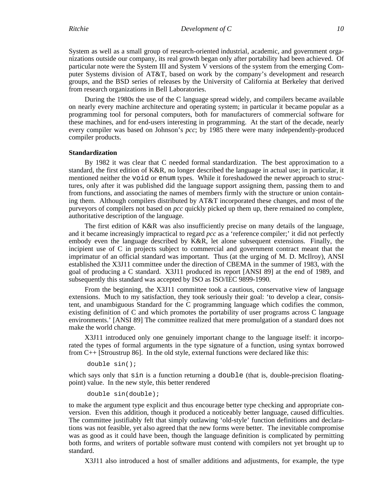System as well as a small group of research-oriented industrial, academic, and government organizations outside our company, its real growth began only after portability had been achieved. Of particular note were the System III and System V versions of the system from the emerging Computer Systems division of AT&T, based on work by the company's development and research groups, and the BSD series of releases by the University of California at Berkeley that derived from research organizations in Bell Laboratories.

During the 1980s the use of the C language spread widely, and compilers became available on nearly every machine architecture and operating system; in particular it became popular as a programming tool for personal computers, both for manufacturers of commercial software for these machines, and for end-users interesting in programming. At the start of the decade, nearly every compiler was based on Johnson's *pcc*; by 1985 there were many independently-produced compiler products.

#### **Standardization**

By 1982 it was clear that C needed formal standardization. The best approximation to a standard, the first edition of K&R, no longer described the language in actual use; in particular, it mentioned neither the void or enum types. While it foreshadowed the newer approach to structures, only after it was published did the language support assigning them, passing them to and from functions, and associating the names of members firmly with the structure or union containing them. Although compilers distributed by AT&T incorporated these changes, and most of the purveyors of compilers not based on *pcc* quickly picked up them up, there remained no complete, authoritative description of the language.

The first edition of K&R was also insufficiently precise on many details of the language, and it became increasingly impractical to regard *pcc* as a 'reference compiler;' it did not perfectly embody even the language described by K&R, let alone subsequent extensions. Finally, the incipient use of C in projects subject to commercial and government contract meant that the imprimatur of an official standard was important. Thus (at the urging of M. D. McIlroy), ANSI established the X3J11 committee under the direction of CBEMA in the summer of 1983, with the goal of producing a C standard. X3J11 produced its report [ANSI 89] at the end of 1989, and subsequently this standard was accepted by ISO as ISO/IEC 9899-1990.

From the beginning, the X3J11 committee took a cautious, conservative view of language extensions. Much to my satisfaction, they took seriously their goal: 'to develop a clear, consistent, and unambiguous Standard for the C programming language which codifies the common, existing definition of C and which promotes the portability of user programs across C language environments.' [ANSI 89] The committee realized that mere promulgation of a standard does not make the world change.

X3J11 introduced only one genuinely important change to the language itself: it incorporated the types of formal arguments in the type signature of a function, using syntax borrowed from C++ [Stroustrup 86]. In the old style, external functions were declared like this:

```
double sin();
```
which says only that sin is a function returning a double (that is, double-precision floatingpoint) value. In the new style, this better rendered

```
double sin(double);
```
to make the argument type explicit and thus encourage better type checking and appropriate conversion. Even this addition, though it produced a noticeably better language, caused difficulties. The committee justifiably felt that simply outlawing 'old-style' function definitions and declarations was not feasible, yet also agreed that the new forms were better. The inevitable compromise was as good as it could have been, though the language definition is complicated by permitting both forms, and writers of portable software must contend with compilers not yet brought up to standard.

X3J11 also introduced a host of smaller additions and adjustments, for example, the type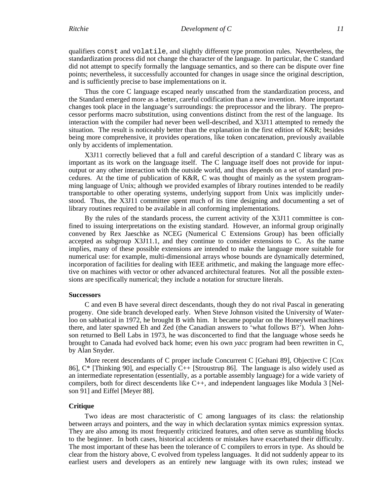qualifiers const and volatile, and slightly different type promotion rules. Nevertheless, the standardization process did not change the character of the language. In particular, the C standard did not attempt to specify formally the language semantics, and so there can be dispute over fine points; nevertheless, it successfully accounted for changes in usage since the original description, and is sufficiently precise to base implementations on it.

Thus the core C language escaped nearly unscathed from the standardization process, and the Standard emerged more as a better, careful codification than a new invention. More important changes took place in the language's surroundings: the preprocessor and the library. The preprocessor performs macro substitution, using conventions distinct from the rest of the language. Its interaction with the compiler had never been well-described, and X3J11 attempted to remedy the situation. The result is noticeably better than the explanation in the first edition of K&R; besides being more comprehensive, it provides operations, like token concatenation, previously available only by accidents of implementation.

X3J11 correctly believed that a full and careful description of a standard C library was as important as its work on the language itself. The C language itself does not provide for inputoutput or any other interaction with the outside world, and thus depends on a set of standard procedures. At the time of publication of K&R, C was thought of mainly as the system programming language of Unix; although we provided examples of library routines intended to be readily transportable to other operating systems, underlying support from Unix was implicitly understood. Thus, the X3J11 committee spent much of its time designing and documenting a set of library routines required to be available in all conforming implementations.

By the rules of the standards process, the current activity of the X3J11 committee is confined to issuing interpretations on the existing standard. However, an informal group originally convened by Rex Jaeschke as NCEG (Numerical C Extensions Group) has been officially accepted as subgroup X3J11.1, and they continue to consider extensions to C. As the name implies, many of these possible extensions are intended to make the language more suitable for numerical use: for example, multi-dimensional arrays whose bounds are dynamically determined, incorporation of facilities for dealing with IEEE arithmetic, and making the language more effective on machines with vector or other advanced architectural features. Not all the possible extensions are specifically numerical; they include a notation for structure literals.

## **Successors**

C and even B have several direct descendants, though they do not rival Pascal in generating progeny. One side branch developed early. When Steve Johnson visited the University of Waterloo on sabbatical in 1972, he brought B with him. It became popular on the Honeywell machines there, and later spawned Eh and Zed (the Canadian answers to 'what follows B?'). When Johnson returned to Bell Labs in 1973, he was disconcerted to find that the language whose seeds he brought to Canada had evolved back home; even his own *yacc* program had been rewritten in C, by Alan Snyder.

More recent descendants of C proper include Concurrent C [Gehani 89], Objective C [Cox 86], C\* [Thinking 90], and especially C++ [Stroustrup 86]. The language is also widely used as an intermediate representation (essentially, as a portable assembly language) for a wide variety of compilers, both for direct descendents like C++, and independent languages like Modula 3 [Nelson 91] and Eiffel [Meyer 88].

#### **Critique**

Two ideas are most characteristic of C among languages of its class: the relationship between arrays and pointers, and the way in which declaration syntax mimics expression syntax. They are also among its most frequently criticized features, and often serve as stumbling blocks to the beginner. In both cases, historical accidents or mistakes have exacerbated their difficulty. The most important of these has been the tolerance of C compilers to errors in type. As should be clear from the history above, C evolved from typeless languages. It did not suddenly appear to its earliest users and developers as an entirely new language with its own rules; instead we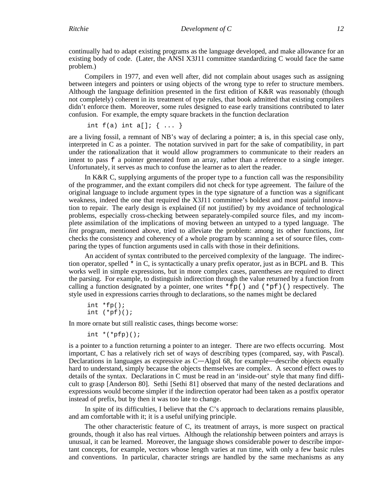continually had to adapt existing programs as the language developed, and make allowance for an existing body of code. (Later, the ANSI X3J11 committee standardizing C would face the same problem.)

Compilers in 1977, and even well after, did not complain about usages such as assigning between integers and pointers or using objects of the wrong type to refer to structure members. Although the language definition presented in the first edition of K&R was reasonably (though not completely) coherent in its treatment of type rules, that book admitted that existing compilers didn't enforce them. Moreover, some rules designed to ease early transitions contributed to later confusion. For example, the empty square brackets in the function declaration

```
int f(a) int a[]; { ... }
```
are a living fossil, a remnant of NB's way of declaring a pointer; a is, in this special case only, interpreted in C as a pointer. The notation survived in part for the sake of compatibility, in part under the rationalization that it would allow programmers to communicate to their readers an intent to pass f a pointer generated from an array, rather than a reference to a single integer. Unfortunately, it serves as much to confuse the learner as to alert the reader.

In K&R C, supplying arguments of the proper type to a function call was the responsibility of the programmer, and the extant compilers did not check for type agreement. The failure of the original language to include argument types in the type signature of a function was a significant weakness, indeed the one that required the X3J11 committee's boldest and most painful innovation to repair. The early design is explained (if not justified) by my avoidance of technological problems, especially cross-checking between separately-compiled source files, and my incomplete assimilation of the implications of moving between an untyped to a typed language. The *lint* program, mentioned above, tried to alleviate the problem: among its other functions, *lint* checks the consistency and coherency of a whole program by scanning a set of source files, comparing the types of function arguments used in calls with those in their definitions.

An accident of syntax contributed to the perceived complexity of the language. The indirection operator, spelled \* in C, is syntactically a unary prefix operator, just as in BCPL and B. This works well in simple expressions, but in more complex cases, parentheses are required to direct the parsing. For example, to distinguish indirection through the value returned by a function from calling a function designated by a pointer, one writes  $*fp()$  and  $(*pf()()$  respectively. The style used in expressions carries through to declarations, so the names might be declared

```
int *fp();
int (*pf)(;
```
In more ornate but still realistic cases, things become worse:

```
int *(*pfp)();
```
is a pointer to a function returning a pointer to an integer. There are two effects occurring. Most important, C has a relatively rich set of ways of describing types (compared, say, with Pascal). Declarations in languages as expressive as  $C - Algol 68$ , for example—describe objects equally hard to understand, simply because the objects themselves are complex. A second effect owes to details of the syntax. Declarations in C must be read in an 'inside-out' style that many find difficult to grasp [Anderson 80]. Sethi [Sethi 81] observed that many of the nested declarations and expressions would become simpler if the indirection operator had been taken as a postfix operator instead of prefix, but by then it was too late to change.

In spite of its difficulties, I believe that the C's approach to declarations remains plausible, and am comfortable with it; it is a useful unifying principle.

The other characteristic feature of C, its treatment of arrays, is more suspect on practical grounds, though it also has real virtues. Although the relationship between pointers and arrays is unusual, it can be learned. Moreover, the language shows considerable power to describe important concepts, for example, vectors whose length varies at run time, with only a few basic rules and conventions. In particular, character strings are handled by the same mechanisms as any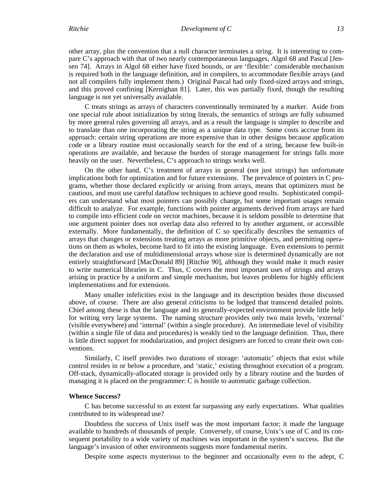other array, plus the convention that a null character terminates a string. It is interesting to compare C's approach with that of two nearly contemporaneous languages, Algol 68 and Pascal [Jensen 74]. Arrays in Algol 68 either have fixed bounds, or are 'flexible:' considerable mechanism is required both in the language definition, and in compilers, to accommodate flexible arrays (and not all compilers fully implement them.) Original Pascal had only fixed-sized arrays and strings, and this proved confining [Kernighan 81]. Later, this was partially fixed, though the resulting language is not yet universally available.

C treats strings as arrays of characters conventionally terminated by a marker. Aside from one special rule about initialization by string literals, the semantics of strings are fully subsumed by more general rules governing all arrays, and as a result the language is simpler to describe and to translate than one incorporating the string as a unique data type. Some costs accrue from its approach: certain string operations are more expensive than in other designs because application code or a library routine must occasionally search for the end of a string, because few built-in operations are available, and because the burden of storage management for strings falls more heavily on the user. Nevertheless, C's approach to strings works well.

On the other hand, C's treatment of arrays in general (not just strings) has unfortunate implications both for optimization and for future extensions. The prevalence of pointers in C programs, whether those declared explicitly or arising from arrays, means that optimizers must be cautious, and must use careful dataflow techniques to achieve good results. Sophisticated compilers can understand what most pointers can possibly change, but some important usages remain difficult to analyze. For example, functions with pointer arguments derived from arrays are hard to compile into efficient code on vector machines, because it is seldom possible to determine that one argument pointer does not overlap data also referred to by another argument, or accessible externally. More fundamentally, the definition of C so specifically describes the semantics of arrays that changes or extensions treating arrays as more primitive objects, and permitting operations on them as wholes, become hard to fit into the existing language. Even extensions to permit the declaration and use of multidimensional arrays whose size is determined dynamically are not entirely straightforward [MacDonald 89] [Ritchie 90], although they would make it much easier to write numerical libraries in C. Thus, C covers the most important uses of strings and arrays arising in practice by a uniform and simple mechanism, but leaves problems for highly efficient implementations and for extensions.

Many smaller infelicities exist in the language and its description besides those discussed above, of course. There are also general criticisms to be lodged that transcend detailed points. Chief among these is that the language and its generally-expected environment provide little help for writing very large systems. The naming structure provides only two main levels, 'external' (visible everywhere) and 'internal' (within a single procedure). An intermediate level of visibility (within a single file of data and procedures) is weakly tied to the language definition. Thus, there is little direct support for modularization, and project designers are forced to create their own conventions.

Similarly, C itself provides two durations of storage: 'automatic' objects that exist while control resides in or below a procedure, and 'static,' existing throughout execution of a program. Off-stack, dynamically-allocated storage is provided only by a library routine and the burden of managing it is placed on the programmer: C is hostile to automatic garbage collection.

#### **Whence Success?**

C has become successful to an extent far surpassing any early expectations. What qualities contributed to its widespread use?

Doubtless the success of Unix itself was the most important factor; it made the language available to hundreds of thousands of people. Conversely, of course, Unix's use of C and its consequent portability to a wide variety of machines was important in the system's success. But the language's invasion of other environments suggests more fundamental merits.

Despite some aspects mysterious to the beginner and occasionally even to the adept, C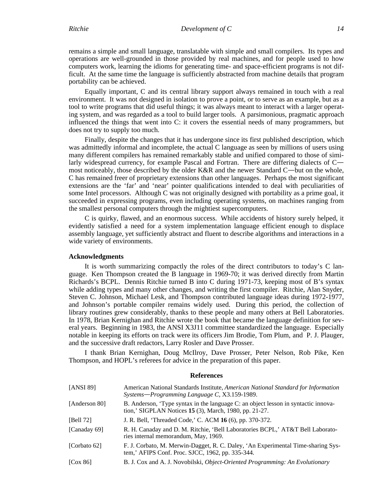remains a simple and small language, translatable with simple and small compilers. Its types and operations are well-grounded in those provided by real machines, and for people used to how computers work, learning the idioms for generating time- and space-efficient programs is not difficult. At the same time the language is sufficiently abstracted from machine details that program portability can be achieved.

Equally important, C and its central library support always remained in touch with a real environment. It was not designed in isolation to prove a point, or to serve as an example, but as a tool to write programs that did useful things; it was always meant to interact with a larger operating system, and was regarded as a tool to build larger tools. A parsimonious, pragmatic approach influenced the things that went into C: it covers the essential needs of many programmers, but does not try to supply too much.

Finally, despite the changes that it has undergone since its first published description, which was admittedly informal and incomplete, the actual C language as seen by millions of users using many different compilers has remained remarkably stable and unified compared to those of similarly widespread currency, for example Pascal and Fortran. There are differing dialects of C most noticeably, those described by the older  $K&R$  and the newer Standard C—but on the whole, C has remained freer of proprietary extensions than other languages. Perhaps the most significant extensions are the 'far' and 'near' pointer qualifications intended to deal with peculiarities of some Intel processors. Although C was not originally designed with portability as a prime goal, it succeeded in expressing programs, even including operating systems, on machines ranging from the smallest personal computers through the mightiest supercomputers.

C is quirky, flawed, and an enormous success. While accidents of history surely helped, it evidently satisfied a need for a system implementation language efficient enough to displace assembly language, yet sufficiently abstract and fluent to describe algorithms and interactions in a wide variety of environments.

## **Acknowledgments**

It is worth summarizing compactly the roles of the direct contributors to today's C language. Ken Thompson created the B language in 1969-70; it was derived directly from Martin Richards's BCPL. Dennis Ritchie turned B into C during 1971-73, keeping most of B's syntax while adding types and many other changes, and writing the first compiler. Ritchie, Alan Snyder, Steven C. Johnson, Michael Lesk, and Thompson contributed language ideas during 1972-1977, and Johnson's portable compiler remains widely used. During this period, the collection of library routines grew considerably, thanks to these people and many others at Bell Laboratories. In 1978, Brian Kernighan and Ritchie wrote the book that became the language definition for several years. Beginning in 1983, the ANSI X3J11 committee standardized the language. Especially notable in keeping its efforts on track were its officers Jim Brodie, Tom Plum, and P. J. Plauger, and the successive draft redactors, Larry Rosler and Dave Prosser.

I thank Brian Kernighan, Doug McIlroy, Dave Prosser, Peter Nelson, Rob Pike, Ken Thompson, and HOPL's referees for advice in the preparation of this paper.

## **References**

| [ANSI 89]     | American National Standards Institute, American National Standard for Information<br>Systems-Programming Language C, X3.159-1989.            |
|---------------|----------------------------------------------------------------------------------------------------------------------------------------------|
| [Anderson 80] | B. Anderson, 'Type syntax in the language C: an object lesson in syntactic innova-<br>tion,' SIGPLAN Notices 15 (3), March, 1980, pp. 21-27. |
| [Bell 72]     | J. R. Bell, 'Threaded Code,' C. ACM 16 (6), pp. 370-372.                                                                                     |
| [Canaday 69]  | R. H. Canaday and D. M. Ritchie, 'Bell Laboratories BCPL,' AT&T Bell Laborato-<br>ries internal memorandum, May, 1969.                       |
| [Corbato 62]  | F. J. Corbato, M. Merwin-Dagget, R. C. Daley, 'An Experimental Time-sharing Sys-<br>tem,' AFIPS Conf. Proc. SJCC, 1962, pp. 335-344.         |
| [Cox 86]      | B. J. Cox and A. J. Novobilski, <i>Object-Oriented Programming: An Evolutionary</i>                                                          |
|               |                                                                                                                                              |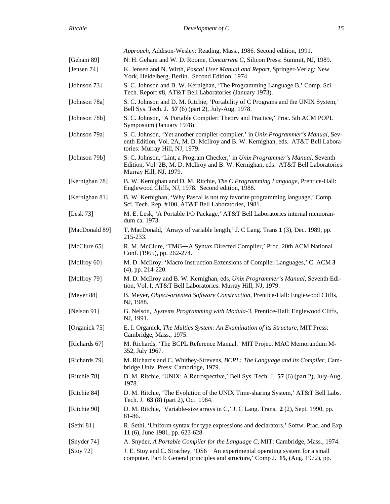|                | Approach, Addison-Wesley: Reading, Mass., 1986. Second edition, 1991.                                                                                                                                   |
|----------------|---------------------------------------------------------------------------------------------------------------------------------------------------------------------------------------------------------|
| [Gehani 89]    | N. H. Gehani and W. D. Roome, <i>Concurrent C</i> , Silicon Press: Summit, NJ, 1989.                                                                                                                    |
| [Jensen 74]    | K. Jensen and N. Wirth, Pascal User Manual and Report, Springer-Verlag: New<br>York, Heidelberg, Berlin. Second Edition, 1974.                                                                          |
| [Johnson 73]   | S. C. Johnson and B. W. Kernighan, 'The Programming Language B,' Comp. Sci.<br>Tech. Report #8, AT&T Bell Laboratories (January 1973).                                                                  |
| [Johnson 78a]  | S. C. Johnson and D. M. Ritchie, 'Portability of C Programs and the UNIX System,'<br>Bell Sys. Tech. J. 57 (6) (part 2), July-Aug, 1978.                                                                |
| [Johnson 78b]  | S. C. Johnson, 'A Portable Compiler: Theory and Practice,' Proc. 5th ACM POPL<br>Symposium (January 1978).                                                                                              |
| [Johnson 79a]  | S. C. Johnson, 'Yet another compiler-compiler,' in Unix Programmer's Manual, Sev-<br>enth Edition, Vol. 2A, M. D. McIlroy and B. W. Kernighan, eds. AT&T Bell Labora-<br>tories: Murray Hill, NJ, 1979. |
| [Johnson 79b]  | S. C. Johnson, 'Lint, a Program Checker,' in Unix Programmer's Manual, Seventh<br>Edition, Vol. 2B, M. D. McIlroy and B. W. Kernighan, eds. AT&T Bell Laboratories:<br>Murray Hill, NJ, 1979.           |
| [Kernighan 78] | B. W. Kernighan and D. M. Ritchie, The C Programming Language, Prentice-Hall:<br>Englewood Cliffs, NJ, 1978. Second edition, 1988.                                                                      |
| [Kernighan 81] | B. W. Kernighan, 'Why Pascal is not my favorite programming language,' Comp.<br>Sci. Tech. Rep. #100, AT&T Bell Laboratories, 1981.                                                                     |
| [Lesk 73]      | M. E. Lesk, 'A Portable I/O Package,' AT&T Bell Laboratories internal memoran-<br>dum ca. 1973.                                                                                                         |
| [MacDonald 89] | T. MacDonald, 'Arrays of variable length,' J. C Lang. Trans 1 (3), Dec. 1989, pp.<br>215-233.                                                                                                           |
| [McClure 65]   | R. M. McClure, 'TMG-A Syntax Directed Compiler,' Proc. 20th ACM National<br>Conf. (1965), pp. 262-274.                                                                                                  |
| [McIlroy 60]   | M. D. McIlroy, 'Macro Instruction Extensions of Compiler Languages,' C. ACM 3<br>$(4)$ , pp. 214-220.                                                                                                   |
| [McIlroy 79]   | M. D. McIlroy and B. W. Kernighan, eds, Unix Programmer's Manual, Seventh Edi-<br>tion, Vol. I, AT&T Bell Laboratories: Murray Hill, NJ, 1979.                                                          |
| [Meyer 88]     | B. Meyer, Object-oriented Software Construction, Prentice-Hall: Englewood Cliffs,<br>NJ, 1988.                                                                                                          |
| [Nelson 91]    | G. Nelson, Systems Programming with Modula-3, Prentice-Hall: Englewood Cliffs,<br>NJ, 1991.                                                                                                             |
| [Organick 75]  | E. I. Organick, The Multics System: An Examination of its Structure, MIT Press:<br>Cambridge, Mass., 1975.                                                                                              |
| [Richards 67]  | M. Richards, 'The BCPL Reference Manual,' MIT Project MAC Memorandum M-<br>352, July 1967.                                                                                                              |
| [Richards 79]  | M. Richards and C. Whitbey-Strevens, BCPL: The Language and its Compiler, Cam-<br>bridge Univ. Press: Cambridge, 1979.                                                                                  |
| [Ritchie 78]   | D. M. Ritchie, 'UNIX: A Retrospective,' Bell Sys. Tech. J. 57 (6) (part 2), July-Aug,<br>1978.                                                                                                          |
| [Ritchie 84]   | D. M. Ritchie, 'The Evolution of the UNIX Time-sharing System,' AT&T Bell Labs.<br>Tech. J. 63 (8) (part 2), Oct. 1984.                                                                                 |
| [Ritchie 90]   | D. M. Ritchie, 'Variable-size arrays in C,' J. C Lang. Trans. 2 (2), Sept. 1990, pp.<br>81-86.                                                                                                          |
| [Sethi 81]     | R. Sethi, 'Uniform syntax for type expressions and declarators,' Softw. Prac. and Exp.<br>11 (6), June 1981, pp. 623-628.                                                                               |
| [Snyder 74]    | A. Snyder, A Portable Compiler for the Language C, MIT: Cambridge, Mass., 1974.                                                                                                                         |
| [Stoy 72]      | J. E. Stoy and C. Strachey, 'OS6—An experimental operating system for a small<br>computer. Part I: General principles and structure,' Comp J. 15, (Aug. 1972), pp.                                      |